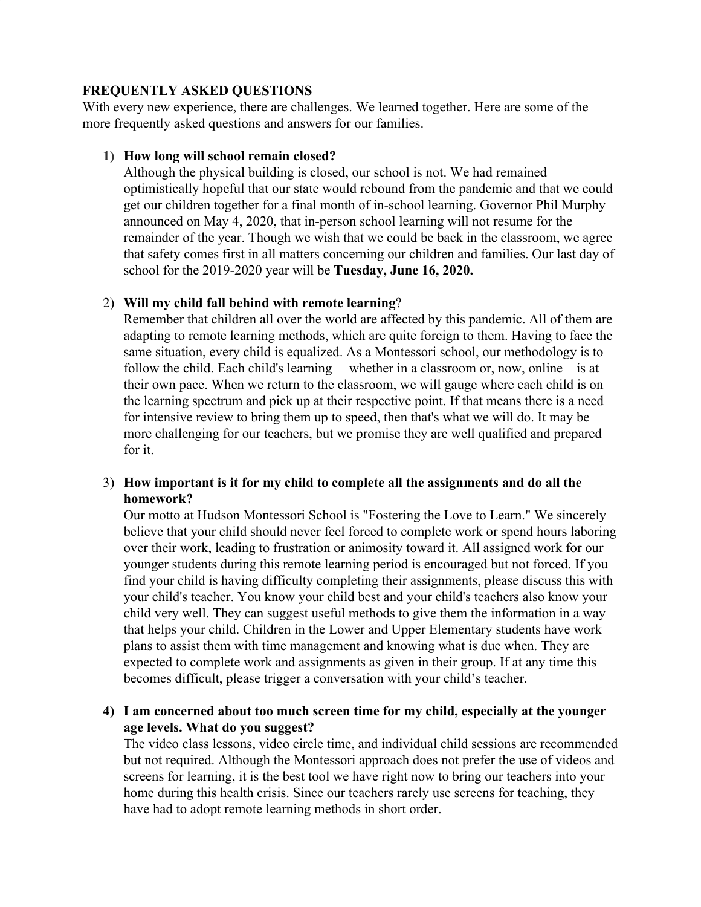### **FREQUENTLY ASKED QUESTIONS**

With every new experience, there are challenges. We learned together. Here are some of the more frequently asked questions and answers for our families.

### **1) How long will school remain closed?**

Although the physical building is closed, our school is not. We had remained optimistically hopeful that our state would rebound from the pandemic and that we could get our children together for a final month of in-school learning. Governor Phil Murphy announced on May 4, 2020, that in-person school learning will not resume for the remainder of the year. Though we wish that we could be back in the classroom, we agree that safety comes first in all matters concerning our children and families. Our last day of school for the 2019-2020 year will be **Tuesday, June 16, 2020.**

# 2) **Will my child fall behind with remote learning**?

Remember that children all over the world are affected by this pandemic. All of them are adapting to remote learning methods, which are quite foreign to them. Having to face the same situation, every child is equalized. As a Montessori school, our methodology is to follow the child. Each child's learning— whether in a classroom or, now, online—is at their own pace. When we return to the classroom, we will gauge where each child is on the learning spectrum and pick up at their respective point. If that means there is a need for intensive review to bring them up to speed, then that's what we will do. It may be more challenging for our teachers, but we promise they are well qualified and prepared for it.

# 3) **How important is it for my child to complete all the assignments and do all the homework?**

Our motto at Hudson Montessori School is "Fostering the Love to Learn." We sincerely believe that your child should never feel forced to complete work or spend hours laboring over their work, leading to frustration or animosity toward it. All assigned work for our younger students during this remote learning period is encouraged but not forced. If you find your child is having difficulty completing their assignments, please discuss this with your child's teacher. You know your child best and your child's teachers also know your child very well. They can suggest useful methods to give them the information in a way that helps your child. Children in the Lower and Upper Elementary students have work plans to assist them with time management and knowing what is due when. They are expected to complete work and assignments as given in their group. If at any time this becomes difficult, please trigger a conversation with your child's teacher.

# **4) I am concerned about too much screen time for my child, especially at the younger age levels. What do you suggest?**

The video class lessons, video circle time, and individual child sessions are recommended but not required. Although the Montessori approach does not prefer the use of videos and screens for learning, it is the best tool we have right now to bring our teachers into your home during this health crisis. Since our teachers rarely use screens for teaching, they have had to adopt remote learning methods in short order.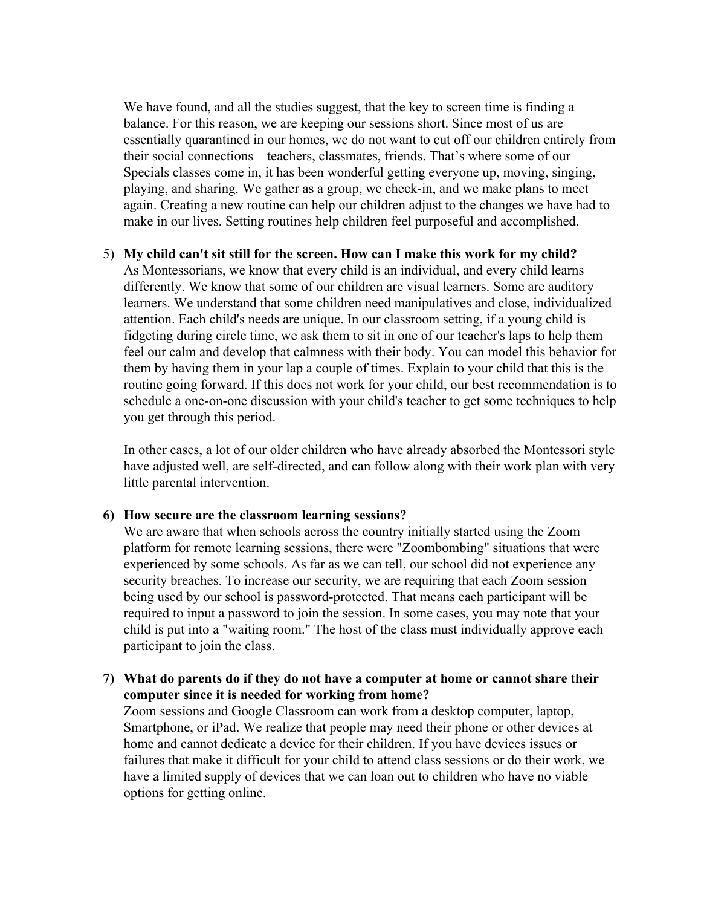We have found, and all the studies suggest, that the key to screen time is finding a balance. For this reason, we are keeping our sessions short. Since most of us are essentially quarantined in our homes, we do not want to cut off our children entirely from their social connections—teachers, classmates, friends. That's where some of our Specials classes come in, it has been wonderful getting everyone up, moving, singing, playing, and sharing. We gather as a group, we check-in, and we make plans to meet again. Creating a new routine can help our children adjust to the changes we have had to make in our lives. Setting routines help children feel purposeful and accomplished.

#### 5) **My child can't sit still for the screen. How can I make this work for my child?**

As Montessorians, we know that every child is an individual, and every child learns differently. We know that some of our children are visual learners. Some are auditory learners. We understand that some children need manipulatives and close, individualized attention. Each child's needs are unique. In our classroom setting, if a young child is fidgeting during circle time, we ask them to sit in one of our teacher's laps to help them feel our calm and develop that calmness with their body. You can model this behavior for them by having them in your lap a couple of times. Explain to your child that this is the routine going forward. If this does not work for your child, our best recommendation is to schedule a one-on-one discussion with your child's teacher to get some techniques to help you get through this period.

In other cases, a lot of our older children who have already absorbed the Montessori style have adjusted well, are self-directed, and can follow along with their work plan with very little parental intervention.

#### **6) How secure are the classroom learning sessions?**

We are aware that when schools across the country initially started using the Zoom platform for remote learning sessions, there were "Zoombombing" situations that were experienced by some schools. As far as we can tell, our school did not experience any security breaches. To increase our security, we are requiring that each Zoom session being used by our school is password-protected. That means each participant will be required to input a password to join the session. In some cases, you may note that your child is put into a "waiting room." The host of the class must individually approve each participant to join the class.

### **7) What do parents do if they do not have a computer at home or cannot share their computer since it is needed for working from home?**

Zoom sessions and Google Classroom can work from a desktop computer, laptop, Smartphone, or iPad. We realize that people may need their phone or other devices at home and cannot dedicate a device for their children. If you have devices issues or failures that make it difficult for your child to attend class sessions or do their work, we have a limited supply of devices that we can loan out to children who have no viable options for getting online.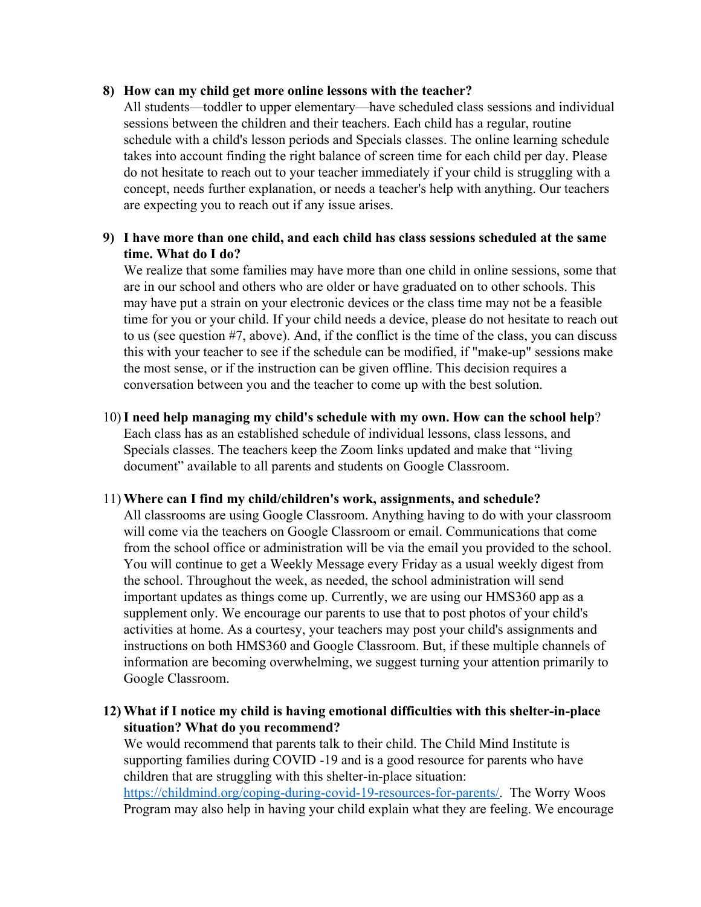### **8) How can my child get more online lessons with the teacher?**

All students—toddler to upper elementary—have scheduled class sessions and individual sessions between the children and their teachers. Each child has a regular, routine schedule with a child's lesson periods and Specials classes. The online learning schedule takes into account finding the right balance of screen time for each child per day. Please do not hesitate to reach out to your teacher immediately if your child is struggling with a concept, needs further explanation, or needs a teacher's help with anything. Our teachers are expecting you to reach out if any issue arises.

# **9) I have more than one child, and each child has class sessions scheduled at the same time. What do I do?**

We realize that some families may have more than one child in online sessions, some that are in our school and others who are older or have graduated on to other schools. This may have put a strain on your electronic devices or the class time may not be a feasible time for you or your child. If your child needs a device, please do not hesitate to reach out to us (see question #7, above). And, if the conflict is the time of the class, you can discuss this with your teacher to see if the schedule can be modified, if "make-up" sessions make the most sense, or if the instruction can be given offline. This decision requires a conversation between you and the teacher to come up with the best solution.

10)**I need help managing my child's schedule with my own. How can the school help**? Each class has as an established schedule of individual lessons, class lessons, and Specials classes. The teachers keep the Zoom links updated and make that "living document" available to all parents and students on Google Classroom.

# 11) **Where can I find my child/children's work, assignments, and schedule?**

All classrooms are using Google Classroom. Anything having to do with your classroom will come via the teachers on Google Classroom or email. Communications that come from the school office or administration will be via the email you provided to the school. You will continue to get a Weekly Message every Friday as a usual weekly digest from the school. Throughout the week, as needed, the school administration will send important updates as things come up. Currently, we are using our HMS360 app as a supplement only. We encourage our parents to use that to post photos of your child's activities at home. As a courtesy, your teachers may post your child's assignments and instructions on both HMS360 and Google Classroom. But, if these multiple channels of information are becoming overwhelming, we suggest turning your attention primarily to Google Classroom.

**12) What if I notice my child is having emotional difficulties with this shelter-in-place situation? What do you recommend?**

We would recommend that parents talk to their child. The Child Mind Institute is supporting families during COVID -19 and is a good resource for parents who have children that are struggling with this shelter-in-place situation:

<https://childmind.org/coping-during-covid-19-resources-for-parents/>. The Worry Woos Program may also help in having your child explain what they are feeling. We encourage